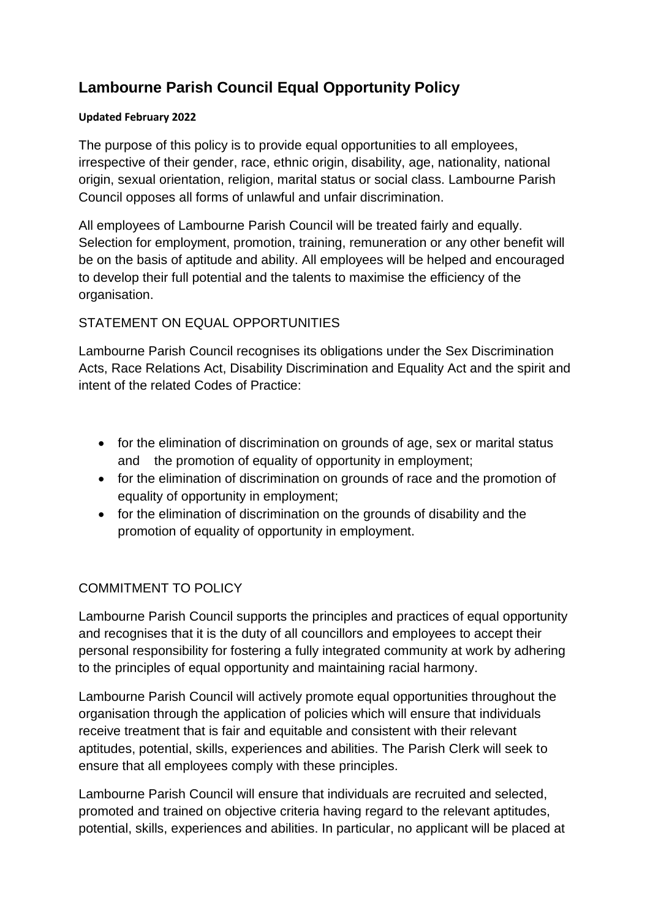# **Lambourne Parish Council Equal Opportunity Policy**

#### **Updated February 2022**

The purpose of this policy is to provide equal opportunities to all employees, irrespective of their gender, race, ethnic origin, disability, age, nationality, national origin, sexual orientation, religion, marital status or social class. Lambourne Parish Council opposes all forms of unlawful and unfair discrimination.

All employees of Lambourne Parish Council will be treated fairly and equally. Selection for employment, promotion, training, remuneration or any other benefit will be on the basis of aptitude and ability. All employees will be helped and encouraged to develop their full potential and the talents to maximise the efficiency of the organisation.

# STATEMENT ON EQUAL OPPORTUNITIES

Lambourne Parish Council recognises its obligations under the Sex Discrimination Acts, Race Relations Act, Disability Discrimination and Equality Act and the spirit and intent of the related Codes of Practice:

- for the elimination of discrimination on grounds of age, sex or marital status and the promotion of equality of opportunity in employment;
- for the elimination of discrimination on grounds of race and the promotion of equality of opportunity in employment;
- for the elimination of discrimination on the grounds of disability and the promotion of equality of opportunity in employment.

# COMMITMENT TO POLICY

Lambourne Parish Council supports the principles and practices of equal opportunity and recognises that it is the duty of all councillors and employees to accept their personal responsibility for fostering a fully integrated community at work by adhering to the principles of equal opportunity and maintaining racial harmony.

Lambourne Parish Council will actively promote equal opportunities throughout the organisation through the application of policies which will ensure that individuals receive treatment that is fair and equitable and consistent with their relevant aptitudes, potential, skills, experiences and abilities. The Parish Clerk will seek to ensure that all employees comply with these principles.

Lambourne Parish Council will ensure that individuals are recruited and selected, promoted and trained on objective criteria having regard to the relevant aptitudes, potential, skills, experiences and abilities. In particular, no applicant will be placed at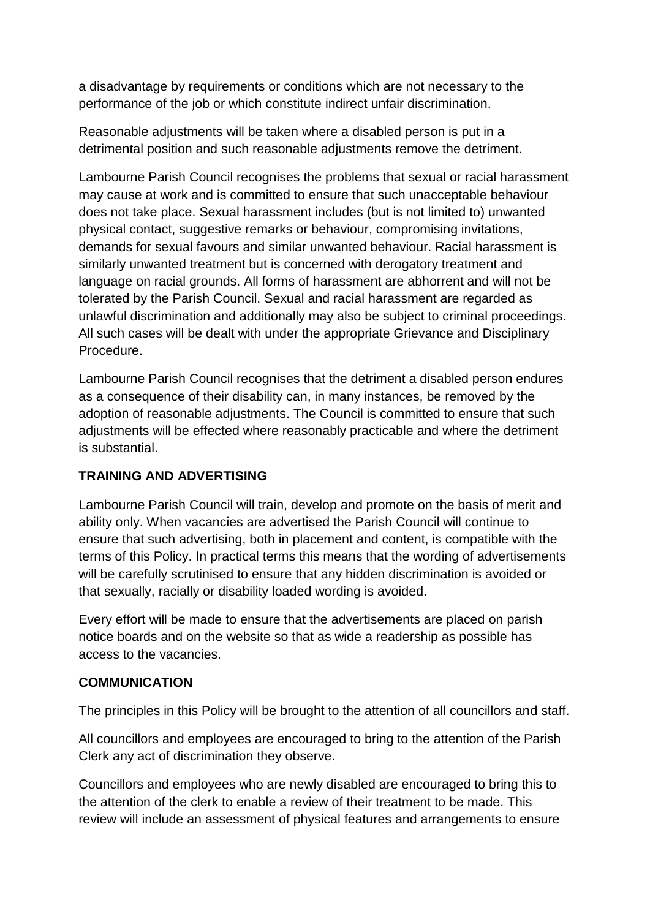a disadvantage by requirements or conditions which are not necessary to the performance of the job or which constitute indirect unfair discrimination.

Reasonable adjustments will be taken where a disabled person is put in a detrimental position and such reasonable adjustments remove the detriment.

Lambourne Parish Council recognises the problems that sexual or racial harassment may cause at work and is committed to ensure that such unacceptable behaviour does not take place. Sexual harassment includes (but is not limited to) unwanted physical contact, suggestive remarks or behaviour, compromising invitations, demands for sexual favours and similar unwanted behaviour. Racial harassment is similarly unwanted treatment but is concerned with derogatory treatment and language on racial grounds. All forms of harassment are abhorrent and will not be tolerated by the Parish Council. Sexual and racial harassment are regarded as unlawful discrimination and additionally may also be subject to criminal proceedings. All such cases will be dealt with under the appropriate Grievance and Disciplinary Procedure.

Lambourne Parish Council recognises that the detriment a disabled person endures as a consequence of their disability can, in many instances, be removed by the adoption of reasonable adjustments. The Council is committed to ensure that such adjustments will be effected where reasonably practicable and where the detriment is substantial.

## **TRAINING AND ADVERTISING**

Lambourne Parish Council will train, develop and promote on the basis of merit and ability only. When vacancies are advertised the Parish Council will continue to ensure that such advertising, both in placement and content, is compatible with the terms of this Policy. In practical terms this means that the wording of advertisements will be carefully scrutinised to ensure that any hidden discrimination is avoided or that sexually, racially or disability loaded wording is avoided.

Every effort will be made to ensure that the advertisements are placed on parish notice boards and on the website so that as wide a readership as possible has access to the vacancies.

## **COMMUNICATION**

The principles in this Policy will be brought to the attention of all councillors and staff.

All councillors and employees are encouraged to bring to the attention of the Parish Clerk any act of discrimination they observe.

Councillors and employees who are newly disabled are encouraged to bring this to the attention of the clerk to enable a review of their treatment to be made. This review will include an assessment of physical features and arrangements to ensure